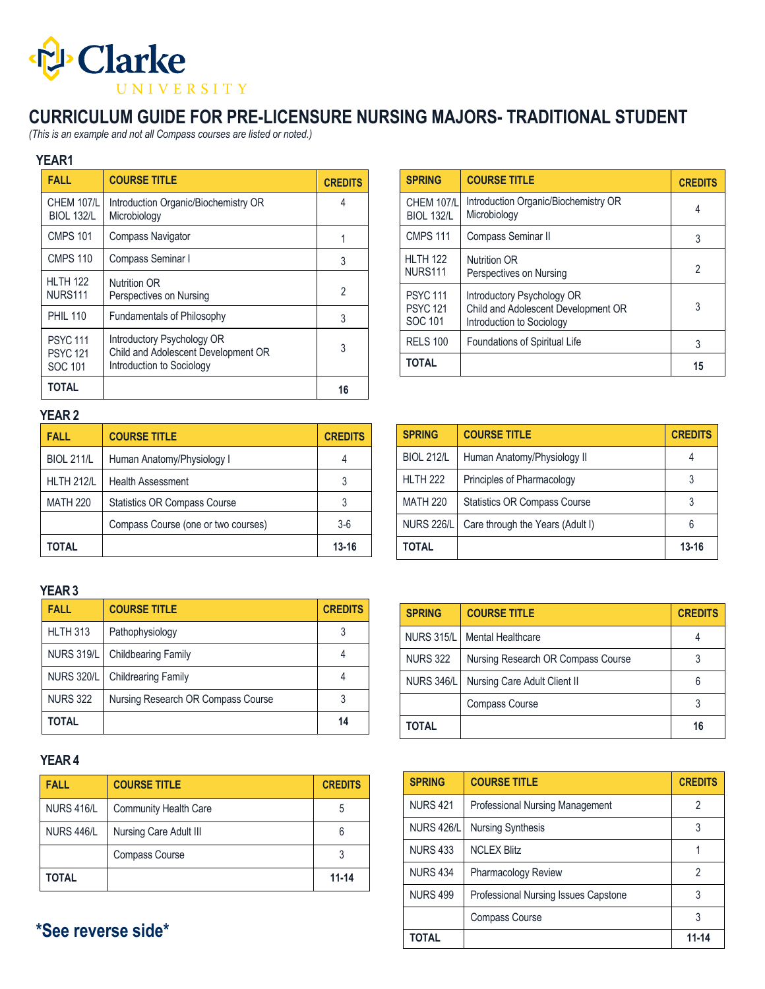

## **CURRICULUM GUIDE FOR PRE-LICENSURE NURSING MAJORS- TRADITIONAL STUDENT**

*(This is an example and not all Compass courses are listed or noted.)*

#### **YEAR1**

| <b>FALL</b>                                 | <b>COURSE TITLE</b>                                                                            | <b>CREDITS</b> |
|---------------------------------------------|------------------------------------------------------------------------------------------------|----------------|
| <b>CHEM 107/L</b><br><b>BIOL 132/L</b>      | Introduction Organic/Biochemistry OR<br>Microbiology                                           | 4              |
| <b>CMPS 101</b>                             | <b>Compass Navigator</b>                                                                       |                |
| <b>CMPS 110</b>                             | Compass Seminar I                                                                              | 3              |
| <b>HI TH 122</b><br><b>NURS111</b>          | <b>Nutrition OR</b><br>Perspectives on Nursing                                                 | $\overline{2}$ |
| <b>PHIL 110</b>                             | Fundamentals of Philosophy                                                                     | 3              |
| <b>PSYC111</b><br><b>PSYC121</b><br>SOC 101 | Introductory Psychology OR<br>Child and Adolescent Development OR<br>Introduction to Sociology | 3              |
| <b>TOTAL</b>                                |                                                                                                | 16             |

| <b>SPRING</b>                                 | <b>COURSE TITLE</b>                                                                            | <b>CREDITS</b> |
|-----------------------------------------------|------------------------------------------------------------------------------------------------|----------------|
| <b>CHEM 107/L</b><br><b>BIOL 132/L</b>        | Introduction Organic/Biochemistry OR<br>Microbiology                                           | 4              |
| <b>CMPS 111</b>                               | Compass Seminar II                                                                             | 3              |
| <b>HI TH 122</b><br><b>NURS111</b>            | <b>Nutrition OR</b><br>Perspectives on Nursing                                                 | 2              |
| <b>PSYC 111</b><br><b>PSYC 121</b><br>SOC 101 | Introductory Psychology OR<br>Child and Adolescent Development OR<br>Introduction to Sociology | 3              |
| <b>RELS 100</b>                               | Foundations of Spiritual Life                                                                  | 3              |
| <b>TOTAL</b>                                  |                                                                                                | 15             |

### **YEAR 2**

| <b>FALL</b>       | <b>COURSE TITLE</b>                 | <b>CREDITS</b> |
|-------------------|-------------------------------------|----------------|
| <b>BIOL 211/L</b> | Human Anatomy/Physiology I          |                |
| <b>HLTH 212/L</b> | <b>Health Assessment</b>            |                |
| <b>MATH 220</b>   | <b>Statistics OR Compass Course</b> |                |
|                   | Compass Course (one or two courses) | $3-6$          |
| TOTAL             |                                     | 13-16          |

| <b>SPRING</b>     | <b>COURSE TITLE</b>                 | <b>CREDITS</b> |
|-------------------|-------------------------------------|----------------|
| <b>BIOL 212/L</b> | Human Anatomy/Physiology II         |                |
| <b>HLTH 222</b>   | Principles of Pharmacology          |                |
| <b>MATH 220</b>   | <b>Statistics OR Compass Course</b> |                |
| <b>NURS 226/L</b> | Care through the Years (Adult I)    | 6              |
| TOTAL             |                                     | $13 - 16$      |

#### **YEAR3**

| <b>FALL</b>       | <b>COURSE TITLE</b>                | <b>CREDITS</b> |
|-------------------|------------------------------------|----------------|
| <b>HLTH 313</b>   | Pathophysiology                    |                |
| <b>NURS 319/L</b> | <b>Childbearing Family</b>         |                |
| <b>NURS 320/L</b> | <b>Childrearing Family</b>         |                |
| <b>NURS 322</b>   | Nursing Research OR Compass Course |                |
| <b>TOTAL</b>      |                                    | 14             |

#### **YEAR 4**

| <b>FALL</b>       | <b>COURSE TITLE</b>          | <b>CREDITS</b> |
|-------------------|------------------------------|----------------|
| <b>NURS 416/L</b> | <b>Community Health Care</b> | 5              |
| <b>NURS 446/L</b> | Nursing Care Adult III       | 6              |
|                   | <b>Compass Course</b>        |                |
| TOTAL             |                              | $11 - 14$      |

**\*See reverse side\***

| <b>SPRING</b>     | <b>COURSE TITLE</b>                | <b>CREDITS</b> |
|-------------------|------------------------------------|----------------|
| <b>NURS 315/L</b> | Mental Healthcare                  |                |
| <b>NURS 322</b>   | Nursing Research OR Compass Course |                |
| <b>NURS 346/L</b> | Nursing Care Adult Client II       | 6              |
|                   | <b>Compass Course</b>              | 3              |
| TOTAL             |                                    | 16             |

| <b>SPRING</b>     | <b>COURSE TITLE</b>                  | <b>CREDITS</b> |
|-------------------|--------------------------------------|----------------|
| <b>NURS 421</b>   | Professional Nursing Management      | 2              |
| <b>NURS 426/L</b> | <b>Nursing Synthesis</b>             | 3              |
| <b>NURS 433</b>   | <b>NCLEX Blitz</b>                   |                |
| <b>NURS 434</b>   | Pharmacology Review                  | 2              |
| <b>NURS 499</b>   | Professional Nursing Issues Capstone | 3              |
|                   | <b>Compass Course</b>                | 3              |
| TOTAL             |                                      | 11-14          |